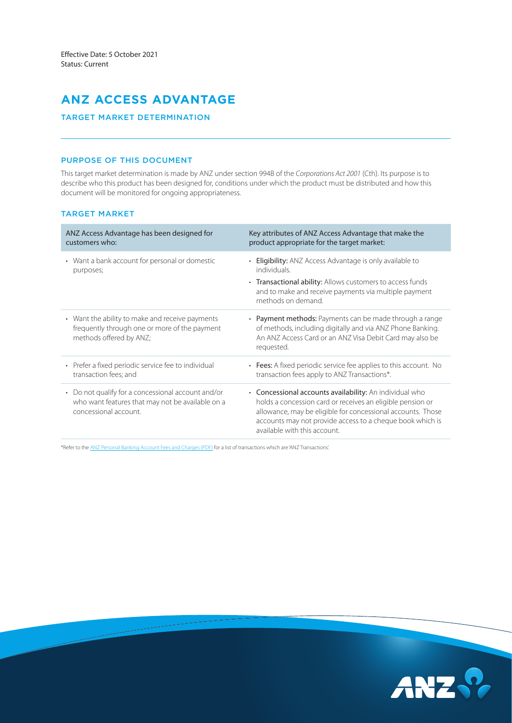# **ANZ ACCESS ADVANTAGE**

# TARGET MARKET DETERMINATION

# PURPOSE OF THIS DOCUMENT

This target market determination is made by ANZ under section 994B of the *Corporations Act 2001* (Cth). Its purpose is to describe who this product has been designed for, conditions under which the product must be distributed and how this document will be monitored for ongoing appropriateness.

## TARGET MARKET

| ANZ Access Advantage has been designed for<br>customers who:                                                                               | Key attributes of ANZ Access Advantage that make the<br>product appropriate for the target market:                                                                                                                                                                                |
|--------------------------------------------------------------------------------------------------------------------------------------------|-----------------------------------------------------------------------------------------------------------------------------------------------------------------------------------------------------------------------------------------------------------------------------------|
| • Want a bank account for personal or domestic<br>purposes;                                                                                | <b>Eligibility:</b> ANZ Access Advantage is only available to<br>individuals.<br>• Transactional ability: Allows customers to access funds<br>and to make and receive payments via multiple payment<br>methods on demand.                                                         |
| • Want the ability to make and receive payments<br>frequently through one or more of the payment<br>methods offered by ANZ;                | • Payment methods: Payments can be made through a range<br>of methods, including digitally and via ANZ Phone Banking.<br>An ANZ Access Card or an ANZ Visa Debit Card may also be<br>requested.                                                                                   |
| • Prefer a fixed periodic service fee to individual<br>transaction fees; and                                                               | • Fees: A fixed periodic service fee applies to this account. No<br>transaction fees apply to ANZ Transactions*.                                                                                                                                                                  |
| Do not qualify for a concessional account and/or<br>$\bullet$<br>who want features that may not be available on a<br>concessional account. | • Concessional accounts availability: An individual who<br>holds a concession card or receives an eligible pension or<br>allowance, may be eligible for concessional accounts. Those<br>accounts may not provide access to a cheque book which is<br>available with this account. |

\*Refer to the [ANZ Personal Banking Account Fees and Charges \(PDF\)](https://www.anz.com.au/content/dam/anzcomau/documents/pdf/personal-account-fees-charges.pdf) for a list of transactions which are 'ANZ Transactions'.

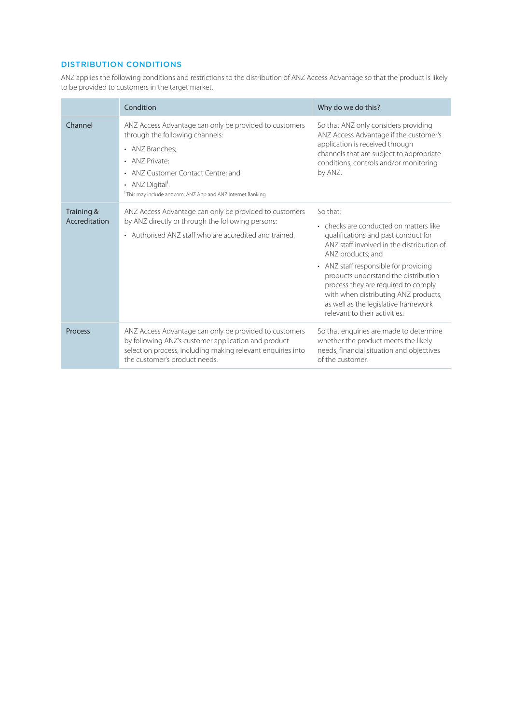# DISTRIBUTION CONDITIONS

ANZ applies the following conditions and restrictions to the distribution of ANZ Access Advantage so that the product is likely to be provided to customers in the target market.

|                             | Condition                                                                                                                                                                                                                                                                                   | Why do we do this?                                                                                                                                                                                                                                                                                                                                                                                   |  |
|-----------------------------|---------------------------------------------------------------------------------------------------------------------------------------------------------------------------------------------------------------------------------------------------------------------------------------------|------------------------------------------------------------------------------------------------------------------------------------------------------------------------------------------------------------------------------------------------------------------------------------------------------------------------------------------------------------------------------------------------------|--|
| Channel                     | ANZ Access Advantage can only be provided to customers<br>through the following channels:<br>• ANZ Branches;<br>• ANZ Private:<br>ANZ Customer Contact Centre; and<br>$\bullet$<br>• ANZ Digital <sup>1</sup> .<br><sup>1</sup> This may include anz.com, ANZ App and ANZ Internet Banking. | So that ANZ only considers providing<br>ANZ Access Advantage if the customer's<br>application is received through<br>channels that are subject to appropriate<br>conditions, controls and/or monitoring<br>by ANZ.                                                                                                                                                                                   |  |
| Training &<br>Accreditation | ANZ Access Advantage can only be provided to customers<br>by ANZ directly or through the following persons:<br>• Authorised ANZ staff who are accredited and trained.                                                                                                                       | So that:<br>• checks are conducted on matters like<br>qualifications and past conduct for<br>ANZ staff involved in the distribution of<br>ANZ products; and<br>• ANZ staff responsible for providing<br>products understand the distribution<br>process they are required to comply<br>with when distributing ANZ products,<br>as well as the legislative framework<br>relevant to their activities. |  |
| Process                     | ANZ Access Advantage can only be provided to customers<br>by following ANZ's customer application and product<br>selection process, including making relevant enquiries into<br>the customer's product needs.                                                                               | So that enquiries are made to determine<br>whether the product meets the likely<br>needs, financial situation and objectives<br>of the customer.                                                                                                                                                                                                                                                     |  |